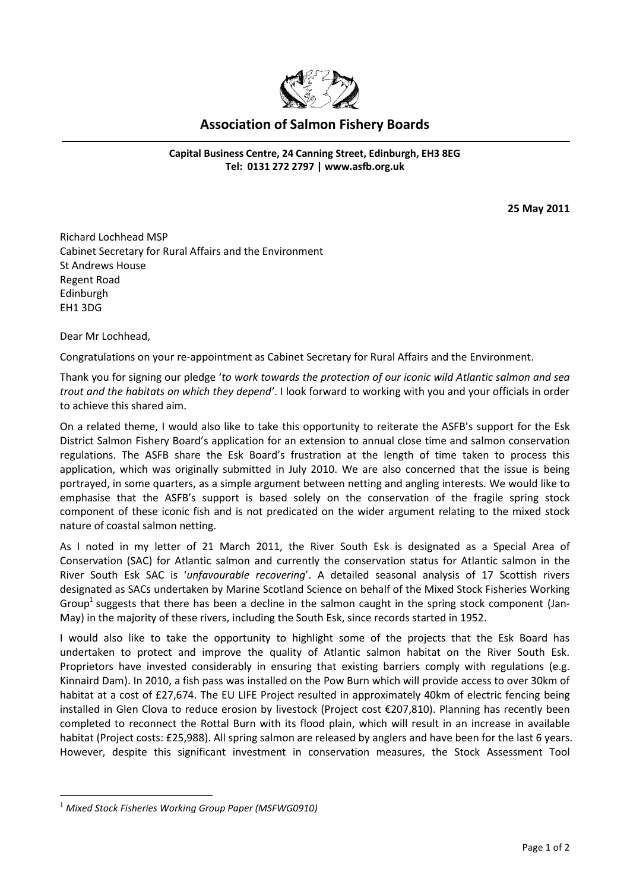

## **Association of Salmon Fishery Boards**

**Capital Business Centre, 24 Canning Street, Edinburgh, EH3 8EG Tel: 0131 272 2797 | [www.asfb.org.uk](http://www.asfb.org.uk/)**

**25 May 2011**

Richard Lochhead MSP Cabinet Secretary for Rural Affairs and the Environment St Andrews House Regent Road Edinburgh EH1 3DG

Dear Mr Lochhead,

Congratulations on your re-appointment as Cabinet Secretary for Rural Affairs and the Environment.

Thank you for signing our pledge '*to work towards the protection of our iconic wild Atlantic salmon and sea trout and the habitats on which they depend'*. I look forward to working with you and your officials in order to achieve this shared aim.

On a related theme, I would also like to take this opportunity to reiterate the ASFB's support for the Esk District Salmon Fishery Board's application for an extension to annual close time and salmon conservation regulations. The ASFB share the Esk Board's frustration at the length of time taken to process this application, which was originally submitted in July 2010. We are also concerned that the issue is being portrayed, in some quarters, as a simple argument between netting and angling interests. We would like to emphasise that the ASFB's support is based solely on the conservation of the fragile spring stock component of these iconic fish and is not predicated on the wider argument relating to the mixed stock nature of coastal salmon netting.

As I noted in my letter of 21 March 2011, the River South Esk is designated as a Special Area of Conservation (SAC) for Atlantic salmon and currently the conservation status for Atlantic salmon in the River South Esk SAC is '*unfavourable recovering*'. A detailed seasonal analysis of 17 Scottish rivers designated as SACs undertaken by Marine Scotland Science on behalf of the Mixed Stock Fisheries Working Group<sup>1</sup> suggests that there has been a decline in the salmon caught in the spring stock component (Jan-May) in the majority of these rivers, including the South Esk, since records started in 1952.

I would also like to take the opportunity to highlight some of the projects that the Esk Board has undertaken to protect and improve the quality of Atlantic salmon habitat on the River South Esk. Proprietors have invested considerably in ensuring that existing barriers comply with regulations (e.g. Kinnaird Dam). In 2010, a fish pass was installed on the Pow Burn which will provide access to over 30km of habitat at a cost of £27,674. The EU LIFE Project resulted in approximately 40km of electric fencing being installed in Glen Clova to reduce erosion by livestock (Project cost €207,810). Planning has recently been completed to reconnect the Rottal Burn with its flood plain, which will result in an increase in available habitat (Project costs: £25,988). All spring salmon are released by anglers and have been for the last 6 years. However, despite this significant investment in conservation measures, the Stock Assessment Tool

1

<sup>1</sup> *Mixed Stock Fisheries Working Group Paper (MSFWG0910)*